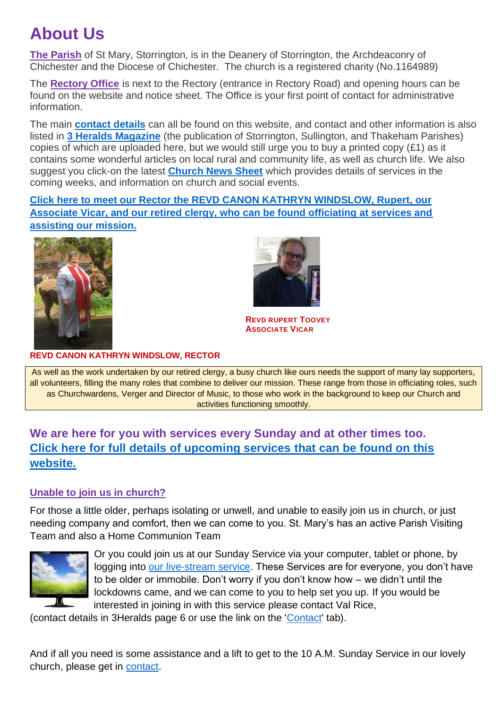# **About Us**

**The Parish** of St Mary, Storrington, is in the Deanery of Storrington, the Archdeaconry of Chichester and the Diocese of Chichester. The church is a registered charity (No.1164989)

The **Rectory Office** is next to the Rectory (entrance in Rectory Road) and opening hours can be found on the website and notice sheet. The Office is your first point of contact for administrative information.

The main **[contact details](https://www.storringtonparishchurch.org.uk/contact)** can all be found on this website, and contact and other information is also listed in **[3 Heralds Magazine](https://www.storringtonparishchurch.org.uk/contact/19-three-heralds/21-three-heralds-magazine)** (the publication of Storrington, Sullington, and Thakeham Parishes) copies of which are uploaded here, but we would still urge you to buy a printed copy (£1) as it contains some wonderful articles on local rural and community life, as well as church life. We also suggest you click-on the latest **[Church News Sheet](https://www.storringtonparishchurch.org.uk/images/pdfs/newsheet.pdf)** which provides details of services in the coming weeks, and information on church and social events.

**Click here to meet our Rector [the REVD CANON KATHRYN WINDSLOW, Rupert, our](https://www.storringtonparishchurch.org.uk/who-swho)  [Associate Vicar, and our retired clergy, who can be found officiating at services and](https://www.storringtonparishchurch.org.uk/who-swho)  [assisting our mission.](https://www.storringtonparishchurch.org.uk/who-swho)**





**REVD RUPERT TOOVEY ASSOCIATE VICAR**

#### **REVD CANON KATHRYN WINDSLOW, RECTOR**

As well as the work undertaken by our retired clergy, a busy church like ours needs the support of many lay supporters, all volunteers, filling the many roles that combine to deliver our mission. These range from those in officiating roles, such as Churchwardens, Verger and Director of Music, to those who work in the background to keep our Church and activities functioning smoothly.

# **We are here for you with services every Sunday and at other times too. [Click here for full details of upcoming services that can be found on this](https://www.storringtonparishchurch.org.uk/services)  [website.](https://www.storringtonparishchurch.org.uk/services)**

## **Unable to join us in church?**

For those a little older, perhaps isolating or unwell, and unable to easily join us in church, or just needing company and comfort, then we can come to you. St. Mary's has an active Parish Visiting Team and also a Home Communion Team



Or you could join us at our Sunday Service via your computer, tablet or phone, by logging into [our live-stream service.](https://www.storringtonparishchurch.org.uk/services/21-hidden/160-thought-for-the-day-2) These Services are for everyone, you don't have to be older or immobile. Don't worry if you don't know how – we didn't until the lockdowns came, and we can come to you to help set you up. If you would be interested in joining in with this service please contact Val Rice,

(contact details in 3Heralds page 6 or use the link on the ['Contact'](https://www.storringtonparishchurch.org.uk/contact) tab).

And if all you need is some assistance and a lift to get to the 10 A.M. Sunday Service in our lovely church, please get in [contact.](https://www.storringtonparishchurch.org.uk/contact)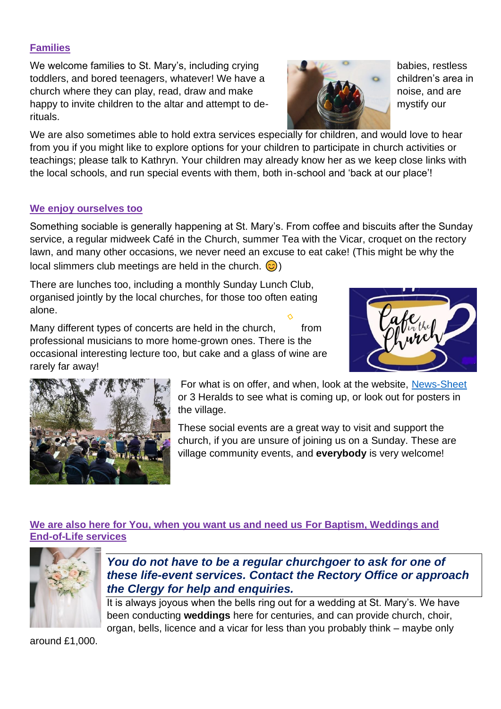## **Families**

We welcome families to St. Mary's, including crying babies, restless babies, restless toddlers, and bored teenagers, whatever! We have a children's area in church where they can play, read, draw and make  $\mathbb{Z}$   $\mathbb{Z}$   $\mathbb{Z}$  noise, and are happy to invite children to the altar and attempt to de- **MACCOLOGY** mystify our rituals.

We are also sometimes able to hold extra services especially for children, and would love to hear from you if you might like to explore options for your children to participate in church activities or teachings; please talk to Kathryn. Your children may already know her as we keep close links with the local schools, and run special events with them, both in-school and 'back at our place'!

### **We enjoy ourselves too**

Something sociable is generally happening at St. Mary's. From coffee and biscuits after the Sunday service, a regular midweek Café in the Church, summer Tea with the Vicar, croquet on the rectory lawn, and many other occasions, we never need an excuse to eat cake! (This might be why the local slimmers club meetings are held in the church.  $\odot$ )

There are lunches too, including a monthly Sunday Lunch Club, organised jointly by the local churches, for those too often eating alone.

Many different types of concerts are held in the church, from professional musicians to more home-grown ones. There is the occasional interesting lecture too, but cake and a glass of wine are rarely far away!

> These social events are a great way to visit and support the church, if you are unsure of joining us on a Sunday. These are village community events, and **everybody** is very welcome!

## **We are also here for You, when you want us and need us For Baptism, Weddings and End-of-Life services**



*You do not have to be a regular churchgoer to ask for one of these life-event services. Contact the Rectory Office or approach the Clergy for help and enquiries.*

It is always joyous when the bells ring out for a wedding at St. Mary's. We have been conducting **weddings** here for centuries, and can provide church, choir, organ, bells, licence and a vicar for less than you probably think – maybe only

around £1,000.

For what is on offer, and when, look at the website, [News-Sheet](https://www.storringtonparishchurch.org.uk/images/pdfs/newsheet.pdf) or 3 Heralds to see what is coming up, or look out for posters in the village.



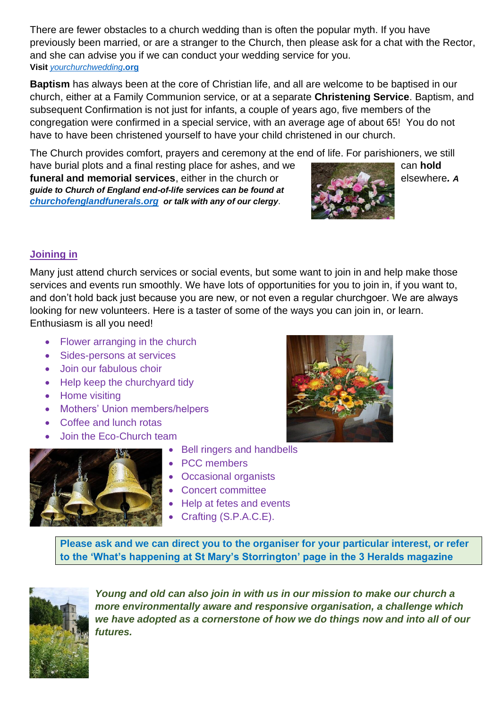There are fewer obstacles to a church wedding than is often the popular myth. If you have previously been married, or are a stranger to the Church, then please ask for a chat with the Rector, and she can advise you if we can conduct your wedding service for you. **Visit** *[yourchurchwedding](https://www.yourchurchwedding.org/)***.org**

**Baptism** has always been at the core of Christian life, and all are welcome to be baptised in our church, either at a Family Communion service, or at a separate **Christening Service**. Baptism, and subsequent Confirmation is not just for infants, a couple of years ago, five members of the congregation were confirmed in a special service, with an average age of about 65! You do not have to have been christened yourself to have your child christened in our church.

The Church provides comfort, prayers and ceremony at the end of life. For parishioners, we still

have burial plots and a final resting place for ashes, and we **funeral and memorial services**, either in the church or *A <b>CAMP* elsewhere. A *guide to Church of England end-of-life services can be found at [churchofenglandfunerals.org](https://www.churchofengland.org/life-events/funerals) or talk with any of our clergy*.



# **Joining in**

Many just attend church services or social events, but some wa[nt to jo](https://creativecommons.org/licenses/by-nc-nd/3.0/)in in and help make those services and events run smoothly. We have lots of opportunities for you to join in, if you want to, and don't hold back just because you are new, or not even a regular churchgoer. We are always looking for new volunteers. Here is a taster of some of the ways you can join in, or learn. Enthusiasm is all you need!

- Flower arranging in the church
- Sides-persons at services
- Join our fabulous choir
- Help keep the churchyard tidy
- Home visiting
- Mothers' Union members/helpers
- Coffee and lunch rotas
- Join the Eco-Church team





- Bell ringers and handbells
- PCC members
- Occasional organists
- Concert committee
- Help at fetes and events
- Crafting (S.P.A.C.E).

**Please ask and we can direct you to the organiser for your particular interest, or refer to the 'What's happening at St Mary's Storrington' page in the 3 Heralds magazine** 



*Young and old can also join in with us in our mission to make our church a more environmentally aware and responsive organisation, a challenge which we have adopted as a cornerstone of how we do things now and into all of our futures.*